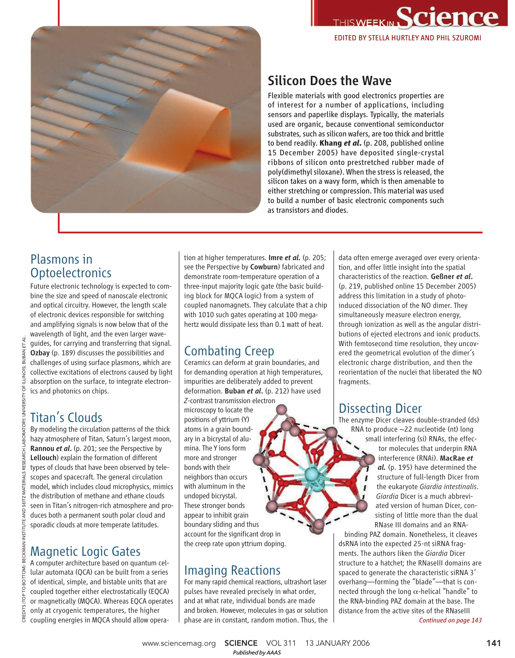



# Silicon Does the Wave

Flexible materials with good electronics properties are of interest for a number of applications, including sensors and paperlike displays. Typically, the materials used are organic, because conventional semiconductor substrates, such as silicon wafers, are too thick and brittle to bend readily. **Khang** *et al***.** (p. 208, published online 15 December 2005) have deposited single-crystal ribbons of silicon onto prestretched rubber made of poly(dimethyl siloxane). When the stress is released, the silicon takes on a wavy form, which is then amenable to either stretching or compression. This material was used to build a number of basic electronic components such as transistors and diodes.

## Plasmons in **Optoelectronics**

Future electronic technology is expected to combine the size and speed of nanoscale electronic and optical circuitry. However, the length scale of electronic devices responsible for switching and amplifying signals is now below that of the wavelength of light, and the even larger waveguides, for carrying and transferring that signal. Ozbay (p. 189) discusses the possibilities and challenges of using surface plasmons, which are collective excitations of electrons caused by light absorption on the surface, to integrate electronics and photonics on chips.

## Titan's Clouds

By modeling the circulation patterns of the thick hazy atmosphere of Titan, Saturn's largest moon, Rannou *et al*. (p. 201; see the Perspective by Lellouch) explain the formation of different types of clouds that have been observed by telescopes and spacecraft. The general circulation model, which includes cloud microphysics, mimics the distribution of methane and ethane clouds seen in Titan's nitrogen-rich atmosphere and produces both a permanent south polar cloud and sporadic clouds at more temperate latitudes.

# Magnetic Logic Gates

A computer architecture based on quantum cellular automata (QCA) can be built from a series of identical, simple, and bistable units that are coupled together either electrostatically (EQCA) or magnetically (MQCA). Whereas EQCA operates only at cryogenic temperatures, the higher coupling energies in MQCA should allow opera-

tion at higher temperatures. Imre *et al.* (p. 205; see the Perspective by Cowburn) fabricated and demonstrate room-temperature operation of a three-input majority logic gate (the basic building block for MQCA logic) from a system of coupled nanomagnets. They calculate that a chip with 1010 such gates operating at 100 megahertz would dissipate less than 0.1 watt of heat.

# Combating Creep

Ceramics can deform at grain boundaries, and for demanding operation at high temperatures, impurities are deliberately added to prevent deformation. Buban *et al*. (p. 212) have used

*Z*-contrast transmission electron microscopy to locate the positions of yttrium (Y) atoms in a grain boundary in a bicrystal of alumina. The Y ions form more and stronger bonds with their neighbors than occurs with aluminum in the undoped bicrystal. These stronger bonds appear to inhibit grain boundary sliding and thus account for the significant drop in the creep rate upon yttrium doping.

## Imaging Reactions

For many rapid chemical reactions, ultrashort laser pulses have revealed precisely in what order, and at what rate, individual bonds are made and broken. However, molecules in gas or solution phase are in constant, random motion. Thus, the data often emerge averaged over every orientation, and offer little insight into the spatial characteristics of the reaction. Geßner *et al*. (p. 219, published online 15 December 2005) address this limitation in a study of photoinduced dissociation of the NO dimer. They simultaneously measure electron energy, through ionization as well as the angular distributions of ejected electrons and ionic products. With femtosecond time resolution, they uncovered the geometrical evolution of the dimer's electronic charge distribution, and then the reorientation of the nuclei that liberated the NO fragments.

### Dissecting Dicer

The enzyme Dicer cleaves double-stranded (ds) RNA to produce ~22 nucleotide (nt) long small interfering (si) RNAs, the effector molecules that underpin RNA interference (RNAi). MacRae *et al.* (p. 195) have determined the structure of full-length Dicer from the eukaryote *Giardia intestinalis*. *Giardia* Dicer is a much abbreviated version of human Dicer, consisting of little more than the dual RNase III domains and an RNA-

binding PAZ domain. Nonetheless, it cleaves dsRNA into the expected 25-nt siRNA fragments. The authors liken the *Giardia* Dicer structure to a hatchet; the RNaseIII domains are spaced to generate the characteristic siRNA 3' overhang—forming the "blade"—that is connected through the long  $α$ -helical "handle" to the RNA-binding PAZ domain at the base. The distance from the active sites of the RNaseIII

*Continued on page 143*

www.sciencemag.org **SCIENCE** VOL 311 13 JANUARY 2006 141

*Published byAAAS*